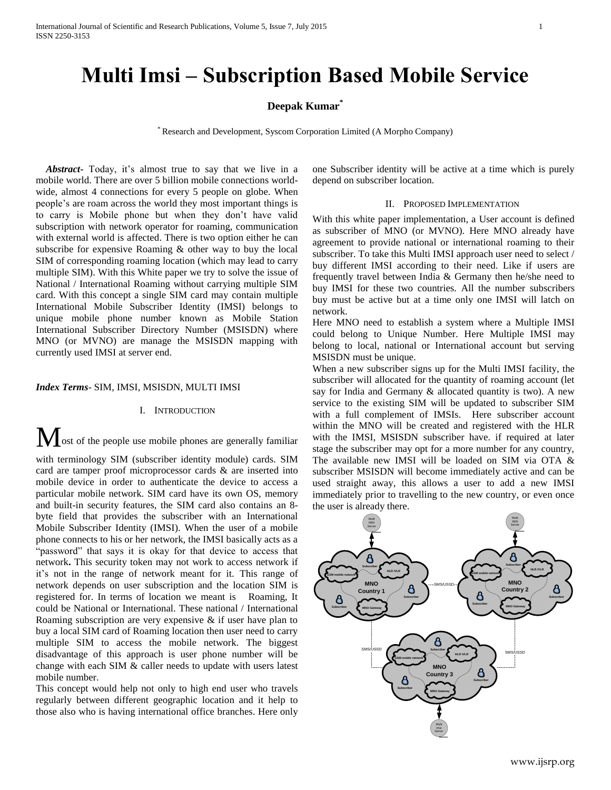# **Multi Imsi – Subscription Based Mobile Service**

## **Deepak Kumar\***

\* Research and Development, Syscom Corporation Limited (A Morpho Company)

 *Abstract***-** Today, it's almost true to say that we live in a mobile world. There are over 5 billion mobile connections worldwide, almost 4 connections for every 5 people on globe. When people's are roam across the world they most important things is to carry is Mobile phone but when they don't have valid subscription with network operator for roaming, communication with external world is affected. There is two option either he can subscribe for expensive Roaming & other way to buy the local SIM of corresponding roaming location (which may lead to carry multiple SIM). With this White paper we try to solve the issue of National / International Roaming without carrying multiple SIM card. With this concept a single SIM card may contain multiple International Mobile Subscriber Identity (IMSI) belongs to unique mobile phone number known as Mobile Station International Subscriber Directory Number (MSISDN) where MNO (or MVNO) are manage the MSISDN mapping with currently used IMSI at server end.

## *Index Terms*- SIM, IMSI, MSISDN, MULTI IMSI

## I. INTRODUCTION

Most of the people use mobile phones are generally familiar with terminology SIM (subscriber identity module) cards. SIM card are tamper proof microprocessor cards & are inserted into mobile device in order to authenticate the device to access a particular mobile network. SIM card have its own OS, memory and built-in security features, the SIM card also contains an 8 byte field that provides the subscriber with an International Mobile Subscriber Identity (IMSI). When the user of a mobile phone connects to his or her network, the IMSI basically acts as a "password" that says it is okay for that device to access that network**.** This security token may not work to access network if it's not in the range of network meant for it. This range of network depends on user subscription and the location SIM is registered for. In terms of location we meant is Roaming, It could be National or International. These national / International Roaming subscription are very expensive & if user have plan to buy a local SIM card of Roaming location then user need to carry multiple SIM to access the mobile network. The biggest disadvantage of this approach is user phone number will be change with each SIM & caller needs to update with users latest mobile number.

This concept would help not only to high end user who travels regularly between different geographic location and it help to those also who is having international office branches. Here only

one Subscriber identity will be active at a time which is purely depend on subscriber location.

## II. PROPOSED IMPLEMENTATION

With this white paper implementation, a User account is defined as subscriber of MNO (or MVNO). Here MNO already have agreement to provide national or international roaming to their subscriber. To take this Multi IMSI approach user need to select / buy different IMSI according to their need. Like if users are frequently travel between India & Germany then he/she need to buy IMSI for these two countries. All the number subscribers buy must be active but at a time only one IMSI will latch on network.

Here MNO need to establish a system where a Multiple IMSI could belong to Unique Number. Here Multiple IMSI may belong to local, national or International account but serving MSISDN must be unique.

When a new subscriber signs up for the Multi IMSI facility, the subscriber will allocated for the quantity of roaming account (let say for India and Germany & allocated quantity is two). A new service to the existing SIM will be updated to subscriber SIM with a full complement of IMSIs. Here subscriber account within the MNO will be created and registered with the HLR with the IMSI, MSISDN subscriber have. if required at later stage the subscriber may opt for a more number for any country, The available new IMSI will be loaded on SIM via OTA & subscriber MSISDN will become immediately active and can be used straight away, this allows a user to add a new IMSI immediately prior to travelling to the new country, or even once the user is already there.